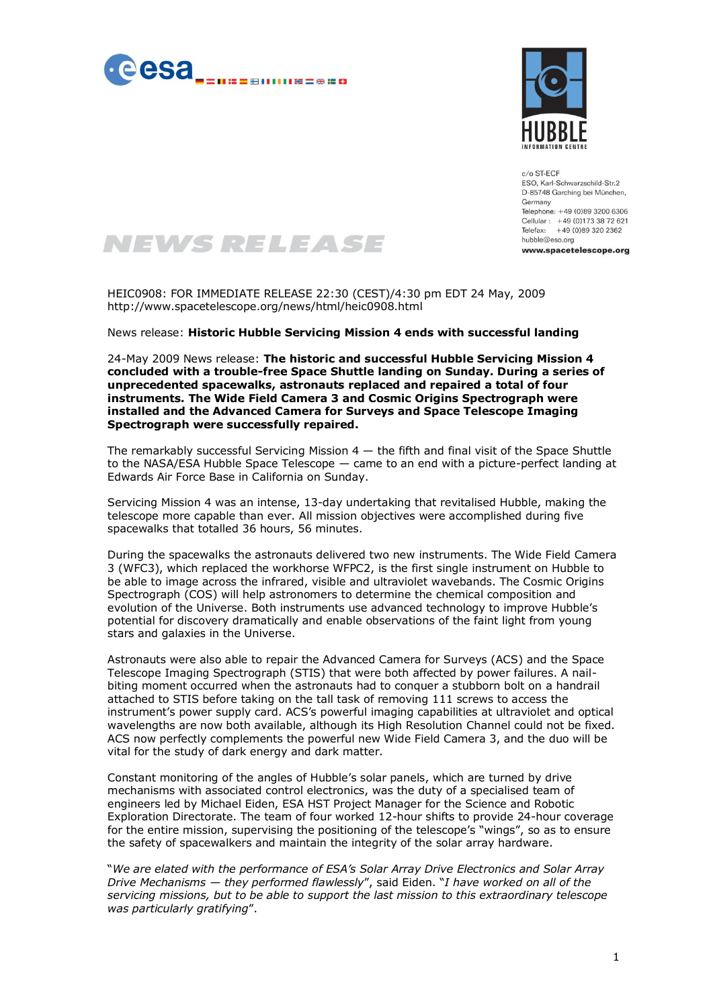



 $c/o$  ST-ECF ESO, Karl-Schwarzschild-Str.2 D-85748 Garching bei München, Germany Telephone: +49 (0)89 3200 6306 Cellular: +49 (0)173 38 72 621 Telefax: +49 (0)89 320 2362 hubble@eso.org www.spacetelescope.org

## NEWS RELEASE

HEIC0908: FOR IMMEDIATE RELEASE 22:30 (CEST)/4:30 pm EDT 24 May, 2009 http://www.spacetelescope.org/news/html/heic0908.html

News release: **Historic Hubble Servicing Mission 4 ends with successful landing**

24-May 2009 News release: **The historic and successful Hubble Servicing Mission 4 concluded with a trouble-free Space Shuttle landing on Sunday. During a series of unprecedented spacewalks, astronauts replaced and repaired a total of four instruments. The Wide Field Camera 3 and Cosmic Origins Spectrograph were installed and the Advanced Camera for Surveys and Space Telescope Imaging Spectrograph were successfully repaired.**

The remarkably successful Servicing Mission  $4 -$  the fifth and final visit of the Space Shuttle to the NASA/ESA Hubble Space Telescope — came to an end with a picture-perfect landing at Edwards Air Force Base in California on Sunday.

Servicing Mission 4 was an intense, 13-day undertaking that revitalised Hubble, making the telescope more capable than ever. All mission objectives were accomplished during five spacewalks that totalled 36 hours, 56 minutes.

During the spacewalks the astronauts delivered two new instruments. The Wide Field Camera 3 (WFC3), which replaced the workhorse WFPC2, is the first single instrument on Hubble to be able to image across the infrared, visible and ultraviolet wavebands. The Cosmic Origins Spectrograph (COS) will help astronomers to determine the chemical composition and evolution of the Universe. Both instruments use advanced technology to improve Hubble's potential for discovery dramatically and enable observations of the faint light from young stars and galaxies in the Universe.

Astronauts were also able to repair the Advanced Camera for Surveys (ACS) and the Space Telescope Imaging Spectrograph (STIS) that were both affected by power failures. A nailbiting moment occurred when the astronauts had to conquer a stubborn bolt on a handrail attached to STIS before taking on the tall task of removing 111 screws to access the instrument's power supply card. ACS's powerful imaging capabilities at ultraviolet and optical wavelengths are now both available, although its High Resolution Channel could not be fixed. ACS now perfectly complements the powerful new Wide Field Camera 3, and the duo will be vital for the study of dark energy and dark matter.

Constant monitoring of the angles of Hubble's solar panels, which are turned by drive mechanisms with associated control electronics, was the duty of a specialised team of engineers led by Michael Eiden, ESA HST Project Manager for the Science and Robotic Exploration Directorate. The team of four worked 12-hour shifts to provide 24-hour coverage for the entire mission, supervising the positioning of the telescope's "wings", so as to ensure the safety of spacewalkers and maintain the integrity of the solar array hardware.

"*We are elated with the performance of ESA's Solar Array Drive Electronics and Solar Array Drive Mechanisms — they performed flawlessly*", said Eiden. "*I have worked on all of the servicing missions, but to be able to support the last mission to this extraordinary telescope was particularly gratifying*".